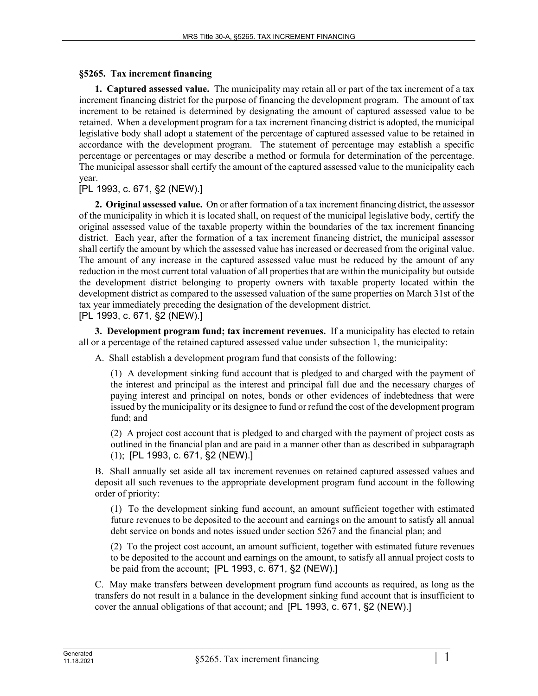## **§5265. Tax increment financing**

**1. Captured assessed value.** The municipality may retain all or part of the tax increment of a tax increment financing district for the purpose of financing the development program. The amount of tax increment to be retained is determined by designating the amount of captured assessed value to be retained. When a development program for a tax increment financing district is adopted, the municipal legislative body shall adopt a statement of the percentage of captured assessed value to be retained in accordance with the development program. The statement of percentage may establish a specific percentage or percentages or may describe a method or formula for determination of the percentage. The municipal assessor shall certify the amount of the captured assessed value to the municipality each year.

[PL 1993, c. 671, §2 (NEW).]

**2. Original assessed value.** On or after formation of a tax increment financing district, the assessor of the municipality in which it is located shall, on request of the municipal legislative body, certify the original assessed value of the taxable property within the boundaries of the tax increment financing district. Each year, after the formation of a tax increment financing district, the municipal assessor shall certify the amount by which the assessed value has increased or decreased from the original value. The amount of any increase in the captured assessed value must be reduced by the amount of any reduction in the most current total valuation of all properties that are within the municipality but outside the development district belonging to property owners with taxable property located within the development district as compared to the assessed valuation of the same properties on March 31st of the tax year immediately preceding the designation of the development district.

[PL 1993, c. 671, §2 (NEW).]

**3. Development program fund; tax increment revenues.** If a municipality has elected to retain all or a percentage of the retained captured assessed value under subsection 1, the municipality:

A. Shall establish a development program fund that consists of the following:

(1) A development sinking fund account that is pledged to and charged with the payment of the interest and principal as the interest and principal fall due and the necessary charges of paying interest and principal on notes, bonds or other evidences of indebtedness that were issued by the municipality or its designee to fund or refund the cost of the development program fund; and

(2) A project cost account that is pledged to and charged with the payment of project costs as outlined in the financial plan and are paid in a manner other than as described in subparagraph (1); [PL 1993, c. 671, §2 (NEW).]

B. Shall annually set aside all tax increment revenues on retained captured assessed values and deposit all such revenues to the appropriate development program fund account in the following order of priority:

(1) To the development sinking fund account, an amount sufficient together with estimated future revenues to be deposited to the account and earnings on the amount to satisfy all annual debt service on bonds and notes issued under section 5267 and the financial plan; and

(2) To the project cost account, an amount sufficient, together with estimated future revenues to be deposited to the account and earnings on the amount, to satisfy all annual project costs to be paid from the account; [PL 1993, c. 671, §2 (NEW).]

C. May make transfers between development program fund accounts as required, as long as the transfers do not result in a balance in the development sinking fund account that is insufficient to cover the annual obligations of that account; and [PL 1993, c. 671, §2 (NEW).]